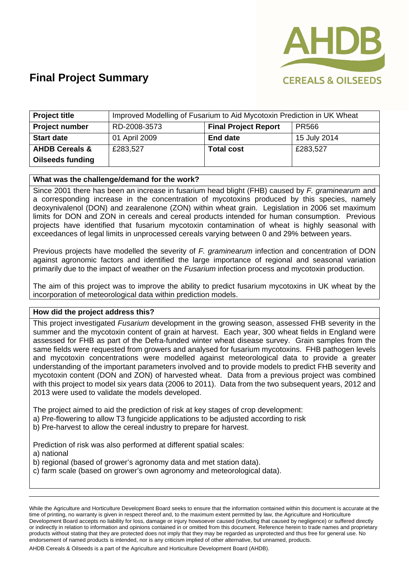

| <b>Project title</b>      | Improved Modelling of Fusarium to Aid Mycotoxin Prediction in UK Wheat |                             |              |  |
|---------------------------|------------------------------------------------------------------------|-----------------------------|--------------|--|
| <b>Project number</b>     | RD-2008-3573                                                           | <b>Final Project Report</b> | PR566        |  |
| <b>Start date</b>         | 01 April 2009                                                          | <b>End date</b>             | 15 July 2014 |  |
| <b>AHDB Cereals &amp;</b> | £283,527                                                               | <b>Total cost</b>           | £283,527     |  |
| <b>Oilseeds funding</b>   |                                                                        |                             |              |  |

#### **What was the challenge/demand for the work?**

Since 2001 there has been an increase in fusarium head blight (FHB) caused by *F. graminearum* and a corresponding increase in the concentration of mycotoxins produced by this species, namely deoxynivalenol (DON) and zearalenone (ZON) within wheat grain. Legislation in 2006 set maximum limits for DON and ZON in cereals and cereal products intended for human consumption. Previous projects have identified that fusarium mycotoxin contamination of wheat is highly seasonal with exceedances of legal limits in unprocessed cereals varying between 0 and 29% between years.

Previous projects have modelled the severity of *F. graminearum* infection and concentration of DON against agronomic factors and identified the large importance of regional and seasonal variation primarily due to the impact of weather on the *Fusarium* infection process and mycotoxin production.

The aim of this project was to improve the ability to predict fusarium mycotoxins in UK wheat by the incorporation of meteorological data within prediction models.

#### **How did the project address this?**

This project investigated *Fusarium* development in the growing season, assessed FHB severity in the summer and the mycotoxin content of grain at harvest. Each year, 300 wheat fields in England were assessed for FHB as part of the Defra-funded winter wheat disease survey. Grain samples from the same fields were requested from growers and analysed for fusarium mycotoxins. FHB pathogen levels and mycotoxin concentrations were modelled against meteorological data to provide a greater understanding of the important parameters involved and to provide models to predict FHB severity and mycotoxin content (DON and ZON) of harvested wheat. Data from a previous project was combined with this project to model six years data (2006 to 2011). Data from the two subsequent years, 2012 and 2013 were used to validate the models developed.

The project aimed to aid the prediction of risk at key stages of crop development:

- a) Pre-flowering to allow T3 fungicide applications to be adjusted according to risk
- b) Pre-harvest to allow the cereal industry to prepare for harvest.

Prediction of risk was also performed at different spatial scales:

a) national

- b) regional (based of grower's agronomy data and met station data).
- c) farm scale (based on grower's own agronomy and meteorological data).

While the Agriculture and Horticulture Development Board seeks to ensure that the information contained within this document is accurate at the time of printing, no warranty is given in respect thereof and, to the maximum extent permitted by law, the Agriculture and Horticulture Development Board accepts no liability for loss, damage or injury howsoever caused (including that caused by negligence) or suffered directly or indirectly in relation to information and opinions contained in or omitted from this document. Reference herein to trade names and proprietary products without stating that they are protected does not imply that they may be regarded as unprotected and thus free for general use. No endorsement of named products is intended, nor is any criticism implied of other alternative, but unnamed, products.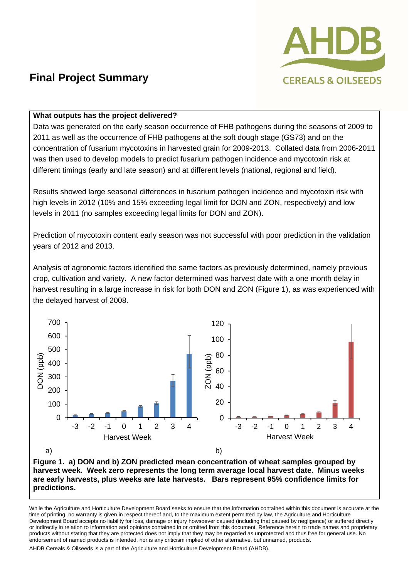

### **What outputs has the project delivered?**

Data was generated on the early season occurrence of FHB pathogens during the seasons of 2009 to 2011 as well as the occurrence of FHB pathogens at the soft dough stage (GS73) and on the concentration of fusarium mycotoxins in harvested grain for 2009-2013. Collated data from 2006-2011 was then used to develop models to predict fusarium pathogen incidence and mycotoxin risk at different timings (early and late season) and at different levels (national, regional and field).

Results showed large seasonal differences in fusarium pathogen incidence and mycotoxin risk with high levels in 2012 (10% and 15% exceeding legal limit for DON and ZON, respectively) and low levels in 2011 (no samples exceeding legal limits for DON and ZON).

Prediction of mycotoxin content early season was not successful with poor prediction in the validation years of 2012 and 2013.

Analysis of agronomic factors identified the same factors as previously determined, namely previous crop, cultivation and variety. A new factor determined was harvest date with a one month delay in harvest resulting in a large increase in risk for both DON and ZON (Figure 1), as was experienced with the delayed harvest of 2008.



**Figure 1. a) DON and b) ZON predicted mean concentration of wheat samples grouped by harvest week. Week zero represents the long term average local harvest date. Minus weeks are early harvests, plus weeks are late harvests. Bars represent 95% confidence limits for predictions.** 

While the Agriculture and Horticulture Development Board seeks to ensure that the information contained within this document is accurate at the time of printing, no warranty is given in respect thereof and, to the maximum extent permitted by law, the Agriculture and Horticulture Development Board accepts no liability for loss, damage or injury howsoever caused (including that caused by negligence) or suffered directly or indirectly in relation to information and opinions contained in or omitted from this document. Reference herein to trade names and proprietary products without stating that they are protected does not imply that they may be regarded as unprotected and thus free for general use. No endorsement of named products is intended, nor is any criticism implied of other alternative, but unnamed, products.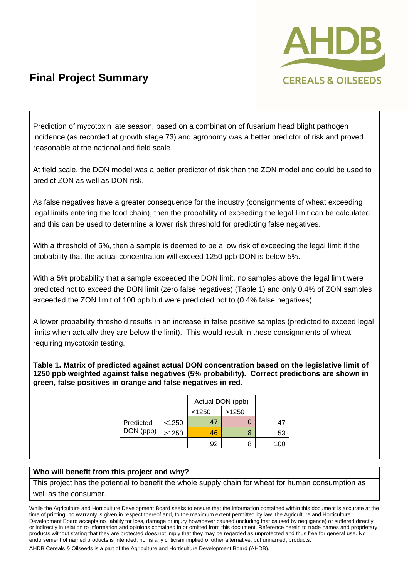

Prediction of mycotoxin late season, based on a combination of fusarium head blight pathogen incidence (as recorded at growth stage 73) and agronomy was a better predictor of risk and proved reasonable at the national and field scale.

At field scale, the DON model was a better predictor of risk than the ZON model and could be used to predict ZON as well as DON risk.

As false negatives have a greater consequence for the industry (consignments of wheat exceeding legal limits entering the food chain), then the probability of exceeding the legal limit can be calculated and this can be used to determine a lower risk threshold for predicting false negatives.

With a threshold of 5%, then a sample is deemed to be a low risk of exceeding the legal limit if the probability that the actual concentration will exceed 1250 ppb DON is below 5%.

With a 5% probability that a sample exceeded the DON limit, no samples above the legal limit were predicted not to exceed the DON limit (zero false negatives) (Table 1) and only 0.4% of ZON samples exceeded the ZON limit of 100 ppb but were predicted not to (0.4% false negatives).

A lower probability threshold results in an increase in false positive samples (predicted to exceed legal limits when actually they are below the limit). This would result in these consignments of wheat requiring mycotoxin testing.

**Table 1. Matrix of predicted against actual DON concentration based on the legislative limit of 1250 ppb weighted against false negatives (5% probability). Correct predictions are shown in green, false positives in orange and false negatives in red.** 

|                        |       | Actual DON (ppb) |       |       |
|------------------------|-------|------------------|-------|-------|
|                        |       | < 1250           | >1250 |       |
| Predicted<br>DON (ppb) | <1250 | 47               |       | 4.    |
|                        | >1250 | 46               |       | 53    |
|                        |       | 92               |       | 1 O C |

#### **Who will benefit from this project and why?**

This project has the potential to benefit the whole supply chain for wheat for human consumption as well as the consumer.

While the Agriculture and Horticulture Development Board seeks to ensure that the information contained within this document is accurate at the time of printing, no warranty is given in respect thereof and, to the maximum extent permitted by law, the Agriculture and Horticulture Development Board accepts no liability for loss, damage or injury howsoever caused (including that caused by negligence) or suffered directly or indirectly in relation to information and opinions contained in or omitted from this document. Reference herein to trade names and proprietary products without stating that they are protected does not imply that they may be regarded as unprotected and thus free for general use. No endorsement of named products is intended, nor is any criticism implied of other alternative, but unnamed, products.